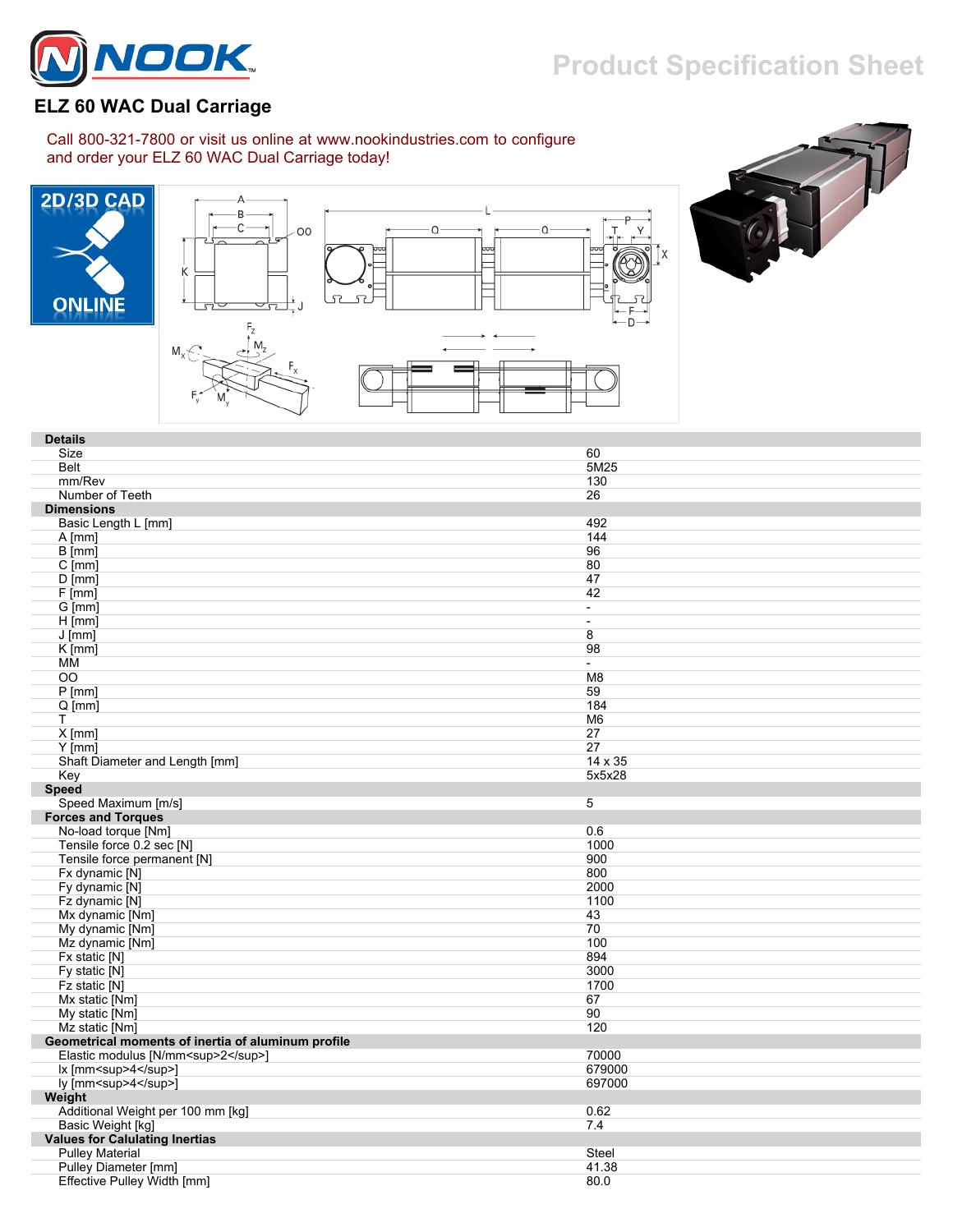

## **Product Specification Sheet**

## **ELZ 60 WAC Dual Carriage**

Call 800-321-7800 or visit us online at www.nookindustries.com to configure and order your ELZ 60 WAC Dual Carriage today!







| <b>Details</b>                                     |                          |
|----------------------------------------------------|--------------------------|
| Size                                               | 60                       |
| <b>Belt</b>                                        | 5M25                     |
| mm/Rev                                             | 130                      |
| Number of Teeth                                    | 26                       |
| <b>Dimensions</b>                                  |                          |
| Basic Length L [mm]                                | 492                      |
| $A$ [mm]                                           | 144                      |
| B [mm]                                             | 96                       |
| $C$ [mm]                                           | 80                       |
| $D$ [mm]                                           | 47                       |
| F[mm]                                              | 42                       |
| G [mm]                                             | $\overline{\phantom{a}}$ |
| $H$ [mm]                                           | $\overline{\phantom{a}}$ |
| $J$ [mm]                                           | 8                        |
| $K$ [mm]                                           | 98                       |
| MM                                                 | $\overline{\phantom{a}}$ |
| 00                                                 | M <sub>8</sub>           |
| $P$ [mm]                                           | 59                       |
| $Q$ [mm]                                           | 184                      |
| T.                                                 | M <sub>6</sub>           |
| $X$ [mm]                                           | 27                       |
| $Y$ [mm]                                           | 27                       |
| Shaft Diameter and Length [mm]                     | 14 x 35                  |
| Key                                                | 5x5x28                   |
| <b>Speed</b>                                       |                          |
| Speed Maximum [m/s]                                | 5                        |
| <b>Forces and Torques</b>                          |                          |
| No-load torque [Nm]                                | 0.6                      |
| Tensile force 0.2 sec [N]                          | 1000                     |
| Tensile force permanent [N]                        | 900                      |
| Fx dynamic [N]                                     | 800                      |
| Fy dynamic [N]                                     | 2000                     |
| Fz dynamic [N]                                     | 1100                     |
| Mx dynamic [Nm]                                    | 43                       |
| My dynamic [Nm]                                    | 70                       |
| Mz dynamic [Nm]                                    | 100                      |
| Fx static [N]                                      | 894                      |
| Fy static [N]                                      | 3000                     |
| Fz static [N]                                      | 1700                     |
| Mx static [Nm]                                     | 67                       |
| My static [Nm]                                     | 90                       |
| Mz static [Nm]                                     | 120                      |
| Geometrical moments of inertia of aluminum profile |                          |
| Elastic modulus [N/mm <sup>2</sup> ]               | 70000                    |
| lx [mm <sup>4</sup> ]                              | 679000                   |
| ly [mm <sup>4</sup> ]                              | 697000                   |
| Weight                                             |                          |
| Additional Weight per 100 mm [kg]                  | 0.62                     |
| Basic Weight [kg]                                  | 7.4                      |
| <b>Values for Calulating Inertias</b>              |                          |
| <b>Pulley Material</b>                             | Steel                    |
| Pulley Diameter [mm]                               | 41.38                    |
| Effective Pulley Width [mm]                        | 80.0                     |
|                                                    |                          |